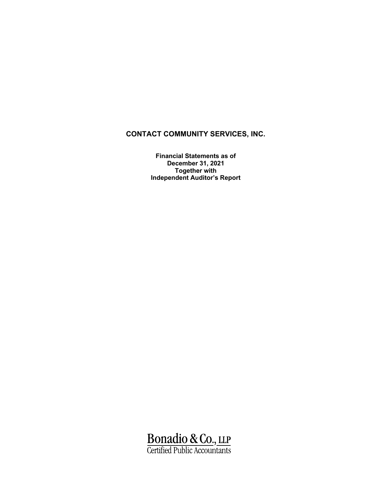**Financial Statements as of December 31, 2021 Together with Independent Auditor's Report**

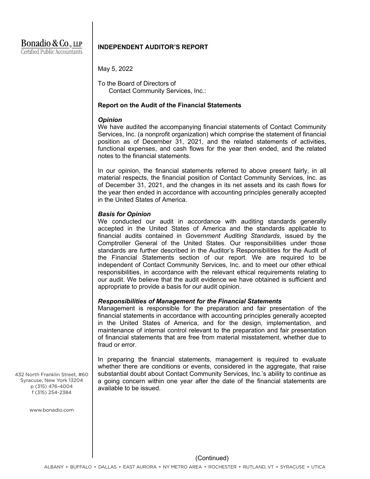## **INDEPENDENT AUDITOR'S REPORT**

May 5, 2022

To the Board of Directors of Contact Community Services, Inc.:

## **Report on the Audit of the Financial Statements**

## *Opinion*

We have audited the accompanying financial statements of Contact Community Services, Inc. (a nonprofit organization) which comprise the statement of financial position as of December 31, 2021, and the related statements of activities, functional expenses, and cash flows for the year then ended, and the related notes to the financial statements.

In our opinion, the financial statements referred to above present fairly, in all material respects, the financial position of Contact Community Services, Inc. as of December 31, 2021, and the changes in its net assets and its cash flows for the year then ended in accordance with accounting principles generally accepted in the United States of America.

## *Basis for Opinion*

We conducted our audit in accordance with auditing standards generally accepted in the United States of America and the standards applicable to financial audits contained in *Government Auditing Standards*, issued by the Comptroller General of the United States. Our responsibilities under those standards are further described in the Auditor's Responsibilities for the Audit of the Financial Statements section of our report. We are required to be independent of Contact Community Services, Inc. and to meet our other ethical responsibilities, in accordance with the relevant ethical requirements relating to our audit. We believe that the audit evidence we have obtained is sufficient and appropriate to provide a basis for our audit opinion.

## *Responsibilities of Management for the Financial Statements*

Management is responsible for the preparation and fair presentation of the financial statements in accordance with accounting principles generally accepted in the United States of America, and for the design, implementation, and maintenance of internal control relevant to the preparation and fair presentation of financial statements that are free from material misstatement, whether due to fraud or error.

In preparing the financial statements, management is required to evaluate whether there are conditions or events, considered in the aggregate, that raise substantial doubt about Contact Community Services, Inc.'s ability to continue as a going concern within one year after the date of the financial statements are available to be issued.

432 North Franklin Street, #60 Syracuse, New York 13204 p (315) 476-4004 f (315) 254-2384

www.bonadio.com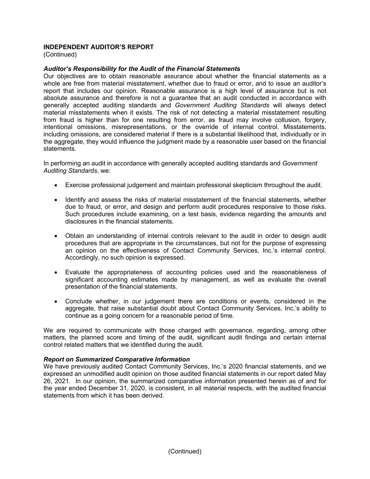## **INDEPENDENT AUDITOR'S REPORT**

(Continued)

## *Auditor's Responsibility for the Audit of the Financial Statements*

Our objectives are to obtain reasonable assurance about whether the financial statements as a whole are free from material misstatement, whether due to fraud or error, and to issue an auditor's report that includes our opinion. Reasonable assurance is a high level of assurance but is not absolute assurance and therefore is not a guarantee that an audit conducted in accordance with generally accepted auditing standards and *Government Auditing Standards* will always detect material misstatements when it exists. The risk of not detecting a material misstatement resulting from fraud is higher than for one resulting from error, as fraud may involve collusion, forgery, intentional omissions, misrepresentations, or the override of internal control. Misstatements, including omissions, are considered material if there is a substantial likelihood that, individually or in the aggregate, they would influence the judgment made by a reasonable user based on the financial statements.

In performing an audit in accordance with generally accepted auditing standards and *Government Auditing Standards*, we:

- Exercise professional judgement and maintain professional skepticism throughout the audit.
- Identify and assess the risks of material misstatement of the financial statements, whether due to fraud, or error, and design and perform audit procedures responsive to those risks. Such procedures include examining, on a test basis, evidence regarding the amounts and disclosures in the financial statements.
- Obtain an understanding of internal controls relevant to the audit in order to design audit procedures that are appropriate in the circumstances, but not for the purpose of expressing an opinion on the effectiveness of Contact Community Services, Inc.'s internal control. Accordingly, no such opinion is expressed.
- Evaluate the appropriateness of accounting policies used and the reasonableness of significant accounting estimates made by management, as well as evaluate the overall presentation of the financial statements.
- Conclude whether, in our judgement there are conditions or events, considered in the aggregate, that raise substantial doubt about Contact Community Services, Inc.'s ability to continue as a going concern for a reasonable period of time.

We are required to communicate with those charged with governance, regarding, among other matters, the planned score and timing of the audit, significant audit findings and certain internal control related matters that we identified during the audit.

## *Report on Summarized Comparative Information*

We have previously audited Contact Community Services, Inc.'s 2020 financial statements, and we expressed an unmodified audit opinion on those audited financial statements in our report dated May 26, 2021. In our opinion, the summarized comparative information presented herein as of and for the year ended December 31, 2020, is consistent, in all material respects, with the audited financial statements from which it has been derived.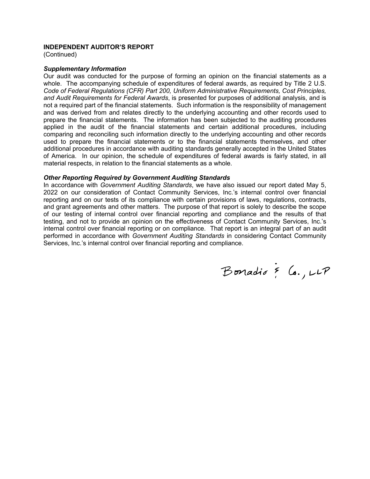## **INDEPENDENT AUDITOR'S REPORT**

(Continued)

#### *Supplementary Information*

Our audit was conducted for the purpose of forming an opinion on the financial statements as a whole. The accompanying schedule of expenditures of federal awards, as required by Title 2 U.S. *Code of Federal Regulations (CFR) Part 200, Uniform Administrative Requirements, Cost Principles, and Audit Requirements for Federal Awards*, is presented for purposes of additional analysis, and is not a required part of the financial statements. Such information is the responsibility of management and was derived from and relates directly to the underlying accounting and other records used to prepare the financial statements. The information has been subjected to the auditing procedures applied in the audit of the financial statements and certain additional procedures, including comparing and reconciling such information directly to the underlying accounting and other records used to prepare the financial statements or to the financial statements themselves, and other additional procedures in accordance with auditing standards generally accepted in the United States of America. In our opinion, the schedule of expenditures of federal awards is fairly stated, in all material respects, in relation to the financial statements as a whole.

#### *Other Reporting Required by Government Auditing Standards*

In accordance with *Government Auditing Standards*, we have also issued our report dated May 5, 2022 on our consideration of Contact Community Services, Inc.'s internal control over financial reporting and on our tests of its compliance with certain provisions of laws, regulations, contracts, and grant agreements and other matters. The purpose of that report is solely to describe the scope of our testing of internal control over financial reporting and compliance and the results of that testing, and not to provide an opinion on the effectiveness of Contact Community Services, Inc.'s internal control over financial reporting or on compliance. That report is an integral part of an audit performed in accordance with *Government Auditing Standards* in considering Contact Community Services, Inc.'s internal control over financial reporting and compliance.

Bonadio & Co., LLP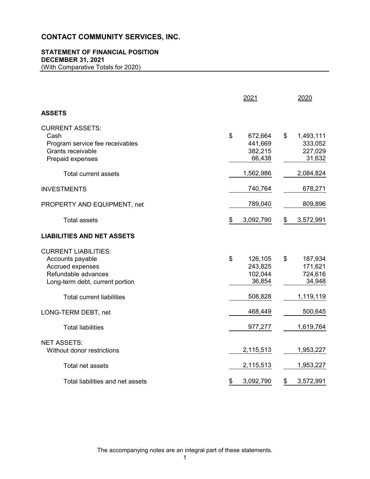## **STATEMENT OF FINANCIAL POSITION DECEMBER 31, 2021**

(With Comparative Totals for 2020)

|                                                                                                                                                                   | 2021                                                       | 2020                                                         |
|-------------------------------------------------------------------------------------------------------------------------------------------------------------------|------------------------------------------------------------|--------------------------------------------------------------|
| <b>ASSETS</b>                                                                                                                                                     |                                                            |                                                              |
| <b>CURRENT ASSETS:</b><br>Cash<br>Program service fee receivables<br>Grants receivable<br>Prepaid expenses<br><b>Total current assets</b>                         | \$<br>672,664<br>441,669<br>382,215<br>66,438<br>1,562,986 | \$<br>1,493,111<br>333,052<br>227,029<br>31,632<br>2,084,824 |
| <b>INVESTMENTS</b>                                                                                                                                                | 740,764                                                    | 678,271                                                      |
| PROPERTY AND EQUIPMENT, net                                                                                                                                       | 789,040                                                    | 809,896                                                      |
| <b>Total assets</b>                                                                                                                                               | 3,092,790<br>\$                                            | \$<br>3,572,991                                              |
| <b>LIABILITIES AND NET ASSETS</b>                                                                                                                                 |                                                            |                                                              |
| <b>CURRENT LIABILITIES:</b><br>Accounts payable<br>Accrued expenses<br>Refundable advances<br>Long-term debt, current portion<br><b>Total current liabilities</b> | \$<br>126,105<br>243,825<br>102,044<br>36,854<br>508,828   | \$<br>187,934<br>171,621<br>724,616<br>34,948<br>1,119,119   |
| LONG-TERM DEBT, net                                                                                                                                               | 468,449                                                    | 500,645                                                      |
| <b>Total liabilities</b>                                                                                                                                          | 977,277                                                    | 1,619,764                                                    |
| <b>NET ASSETS:</b><br>Without donor restrictions                                                                                                                  | 2,115,513                                                  | 1,953,227                                                    |
| Total net assets                                                                                                                                                  | 2,115,513                                                  | 1,953,227                                                    |
| Total liabilities and net assets                                                                                                                                  | \$<br>3,092,790                                            | \$<br>3,572,991                                              |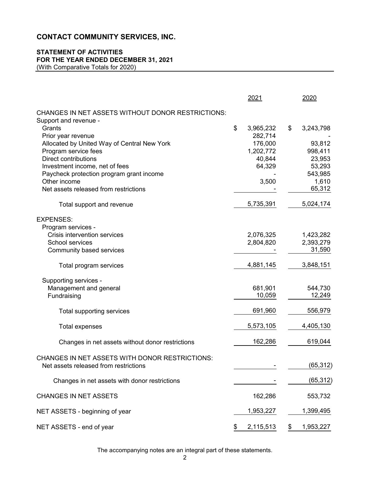## **STATEMENT OF ACTIVITIES FOR THE YEAR ENDED DECEMBER 31, 2021** (With Comparative Totals for 2020)

|                                                                     | 2021                 | 2020              |
|---------------------------------------------------------------------|----------------------|-------------------|
| CHANGES IN NET ASSETS WITHOUT DONOR RESTRICTIONS:                   |                      |                   |
| Support and revenue -<br>Grants                                     | \$<br>3,965,232      | \$<br>3,243,798   |
| Prior year revenue                                                  | 282,714              |                   |
| Allocated by United Way of Central New York<br>Program service fees | 176,000<br>1,202,772 | 93,812<br>998,411 |
| <b>Direct contributions</b>                                         | 40,844               | 23,953            |
| Investment income, net of fees                                      | 64,329               | 53,293            |
| Paycheck protection program grant income                            |                      | 543,985           |
| Other income                                                        | 3,500                | 1,610             |
| Net assets released from restrictions                               |                      | 65,312            |
| Total support and revenue                                           | 5,735,391            | 5,024,174         |
| <b>EXPENSES:</b>                                                    |                      |                   |
| Program services -                                                  |                      |                   |
| <b>Crisis intervention services</b>                                 | 2,076,325            | 1,423,282         |
| School services                                                     | 2,804,820            | 2,393,279         |
| Community based services                                            |                      | 31,590            |
| Total program services                                              | 4,881,145            | 3,848,151         |
| Supporting services -                                               |                      |                   |
| Management and general                                              | 681,901              | 544,730           |
| Fundraising                                                         | 10,059               | 12,249            |
| Total supporting services                                           | 691,960              | 556,979           |
| Total expenses                                                      | 5,573,105            | 4,405,130         |
| Changes in net assets without donor restrictions                    | 162,286              | 619,044           |
| CHANGES IN NET ASSETS WITH DONOR RESTRICTIONS:                      |                      |                   |
| Net assets released from restrictions                               |                      | (65, 312)         |
| Changes in net assets with donor restrictions                       |                      | (65, 312)         |
| <b>CHANGES IN NET ASSETS</b>                                        | 162,286              | 553,732           |
| NET ASSETS - beginning of year                                      | 1,953,227            | 1,399,495         |
| NET ASSETS - end of year                                            | \$<br>2,115,513      | \$<br>1,953,227   |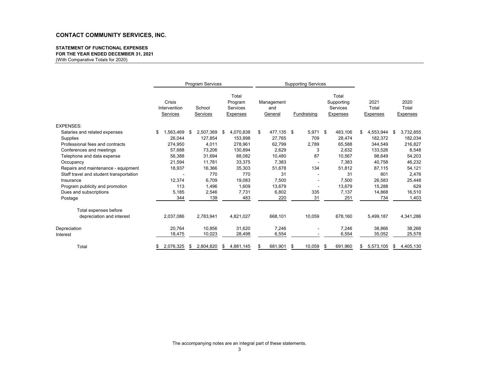# **STATEMENT OF FUNCTIONAL EXPENSES**

**FOR THE YEAR ENDED DECEMBER 31, 2021**

(With Comparative Totals for 2020)

|                                         |                                    | <b>Program Services</b><br><b>Supporting Services</b> |                                                 |                              |              |                                                    |                           |                                  |  |  |  |
|-----------------------------------------|------------------------------------|-------------------------------------------------------|-------------------------------------------------|------------------------------|--------------|----------------------------------------------------|---------------------------|----------------------------------|--|--|--|
|                                         | Crisis<br>Intervention<br>Services | School<br>Services                                    | Total<br>Program<br><b>Services</b><br>Expenses | Management<br>and<br>General | Fundraising  | Total<br>Supporting<br><b>Services</b><br>Expenses | 2021<br>Total<br>Expenses | 2020<br>Total<br><b>Expenses</b> |  |  |  |
| <b>EXPENSES:</b>                        |                                    |                                                       |                                                 |                              |              |                                                    |                           |                                  |  |  |  |
| Salaries and related expenses           | 1,563,469<br>\$                    | 2,507,369<br>\$                                       | 4,070,838<br>\$                                 | \$<br>477,135                | \$<br>5,971  | \$<br>483,106                                      | 4,553,944<br>\$           | 3,732,855<br>\$                  |  |  |  |
| Supplies                                | 26.044                             | 127,854                                               | 153.898                                         | 27,765                       | 709          | 28,474                                             | 182.372                   | 182,034                          |  |  |  |
| Professional fees and contracts         | 274.950                            | 4,011                                                 | 278.961                                         | 62,799                       | 2,789        | 65,588                                             | 344,549                   | 216,827                          |  |  |  |
| Conferences and meetings                | 57,688                             | 73,206                                                | 130,894                                         | 2,629                        | 3            | 2,632                                              | 133,526                   | 8,548                            |  |  |  |
| Telephone and data expense              | 56,388                             | 31,694                                                | 88,082                                          | 10,480                       | 87           | 10,567                                             | 98,649                    | 54,203                           |  |  |  |
| Occupancy                               | 21,594                             | 11,781                                                | 33,375                                          | 7,383                        |              | 7,383                                              | 40.758                    | 46,232                           |  |  |  |
| Repairs and maintenance - equipment     | 18,937                             | 16,366                                                | 35,303                                          | 51,678                       | 134          | 51,812                                             | 87,115                    | 54,121                           |  |  |  |
| Staff travel and student transportation |                                    | 770                                                   | 770                                             | 31                           |              | 31                                                 | 801                       | 2,476                            |  |  |  |
| Insurance                               | 12,374                             | 6,709                                                 | 19,083                                          | 7,500                        |              | 7,500                                              | 26,583                    | 25,448                           |  |  |  |
| Program publicity and promotion         | 113                                | 1,496                                                 | 1,609                                           | 13,679                       |              | 13,679                                             | 15,288                    | 629                              |  |  |  |
| Dues and subscriptions                  | 5,185                              | 2,546                                                 | 7.731                                           | 6,802                        | 335          | 7,137                                              | 14.868                    | 16,510                           |  |  |  |
| Postage                                 | 344                                | 139                                                   | 483                                             | 220                          | 31           | 251                                                | 734                       | 1,403                            |  |  |  |
| Total expenses before                   |                                    |                                                       |                                                 |                              |              |                                                    |                           |                                  |  |  |  |
| depreciation and interest               | 2,037,086                          | 2,783,941                                             | 4,821,027                                       | 668,101                      | 10,059       | 678,160                                            | 5,499,187                 | 4,341,286                        |  |  |  |
| Depreciation                            | 20.764                             | 10.856                                                | 31.620                                          | 7.246                        |              | 7.246                                              | 38.866                    | 38,266                           |  |  |  |
| Interest                                | 18,475                             | 10,023                                                | 28,498                                          | 6,554                        |              | 6,554                                              | 35,052                    | 25,578                           |  |  |  |
| Total                                   | 2,076,325                          | \$<br>2,804,820                                       | 4,881,145<br>\$                                 | 681,901<br>\$                | \$<br>10,059 | \$<br>691,960                                      | 5,573,105<br>\$           | 4,405,130<br>\$                  |  |  |  |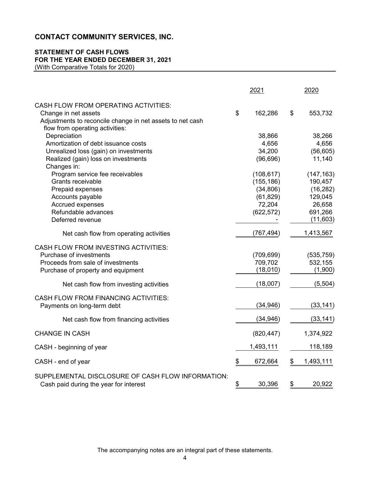## **STATEMENT OF CASH FLOWS FOR THE YEAR ENDED DECEMBER 31, 2021**

(With Comparative Totals for 2020)

|                                                                                                                                                                                       | 2021                                                                       | 2020                                                                           |
|---------------------------------------------------------------------------------------------------------------------------------------------------------------------------------------|----------------------------------------------------------------------------|--------------------------------------------------------------------------------|
| <b>CASH FLOW FROM OPERATING ACTIVITIES:</b><br>Change in net assets<br>Adjustments to reconcile change in net assets to net cash                                                      | \$<br>162,286                                                              | \$<br>553,732                                                                  |
| flow from operating activities:<br>Depreciation<br>Amortization of debt issuance costs<br>Unrealized loss (gain) on investments<br>Realized (gain) loss on investments<br>Changes in: | 38,866<br>4,656<br>34,200<br>(96, 696)                                     | 38,266<br>4,656<br>(56, 605)<br>11,140                                         |
| Program service fee receivables<br>Grants receivable<br>Prepaid expenses<br>Accounts payable<br>Accrued expenses<br>Refundable advances<br>Deferred revenue                           | (108, 617)<br>(155, 186)<br>(34, 806)<br>(61, 829)<br>72,204<br>(622, 572) | (147, 163)<br>190,457<br>(16, 282)<br>129,045<br>26,658<br>691,266<br>(11,603) |
| Net cash flow from operating activities                                                                                                                                               | (767, 494)                                                                 | 1,413,567                                                                      |
| <b>CASH FLOW FROM INVESTING ACTIVITIES:</b><br>Purchase of investments<br>Proceeds from sale of investments<br>Purchase of property and equipment                                     | (709, 699)<br>709,702<br>(18,010)                                          | (535, 759)<br>532,155<br>(1,900)                                               |
| Net cash flow from investing activities                                                                                                                                               | (18,007)                                                                   | (5, 504)                                                                       |
| <b>CASH FLOW FROM FINANCING ACTIVITIES:</b><br>Payments on long-term debt                                                                                                             | (34, 946)                                                                  | (33, 141)                                                                      |
| Net cash flow from financing activities                                                                                                                                               | (34, 946)                                                                  | (33, 141)                                                                      |
| <b>CHANGE IN CASH</b>                                                                                                                                                                 | (820, 447)                                                                 | 1,374,922                                                                      |
| CASH - beginning of year                                                                                                                                                              | 1,493,111                                                                  | 118,189                                                                        |
| CASH - end of year                                                                                                                                                                    | \$<br>672,664                                                              | \$<br>1,493,111                                                                |
| SUPPLEMENTAL DISCLOSURE OF CASH FLOW INFORMATION:<br>Cash paid during the year for interest                                                                                           | \$<br>30,396                                                               | \$<br>20,922                                                                   |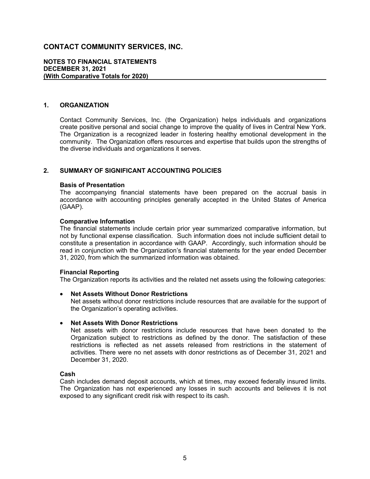#### **NOTES TO FINANCIAL STATEMENTS DECEMBER 31, 2021 (With Comparative Totals for 2020)**

## **1. ORGANIZATION**

Contact Community Services, Inc. (the Organization) helps individuals and organizations create positive personal and social change to improve the quality of lives in Central New York. The Organization is a recognized leader in fostering healthy emotional development in the community. The Organization offers resources and expertise that builds upon the strengths of the diverse individuals and organizations it serves.

## **2. SUMMARY OF SIGNIFICANT ACCOUNTING POLICIES**

## **Basis of Presentation**

The accompanying financial statements have been prepared on the accrual basis in accordance with accounting principles generally accepted in the United States of America (GAAP).

## **Comparative Information**

The financial statements include certain prior year summarized comparative information, but not by functional expense classification. Such information does not include sufficient detail to constitute a presentation in accordance with GAAP. Accordingly, such information should be read in conjunction with the Organization's financial statements for the year ended December 31, 2020, from which the summarized information was obtained.

## **Financial Reporting**

The Organization reports its activities and the related net assets using the following categories:

## **Net Assets Without Donor Restrictions**

Net assets without donor restrictions include resources that are available for the support of the Organization's operating activities.

## **Net Assets With Donor Restrictions**

Net assets with donor restrictions include resources that have been donated to the Organization subject to restrictions as defined by the donor. The satisfaction of these restrictions is reflected as net assets released from restrictions in the statement of activities. There were no net assets with donor restrictions as of December 31, 2021 and December 31, 2020.

## **Cash**

Cash includes demand deposit accounts, which at times, may exceed federally insured limits. The Organization has not experienced any losses in such accounts and believes it is not exposed to any significant credit risk with respect to its cash.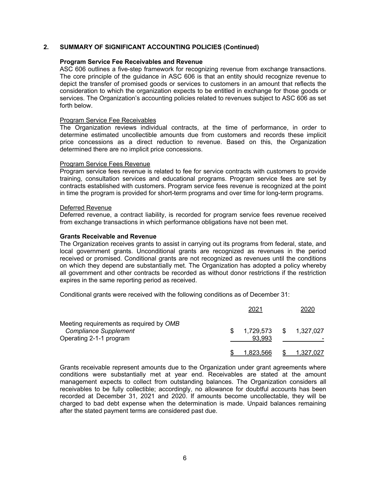## **Program Service Fee Receivables and Revenue**

ASC 606 outlines a five-step framework for recognizing revenue from exchange transactions. The core principle of the guidance in ASC 606 is that an entity should recognize revenue to depict the transfer of promised goods or services to customers in an amount that reflects the consideration to which the organization expects to be entitled in exchange for those goods or services. The Organization's accounting policies related to revenues subject to ASC 606 as set forth below.

#### Program Service Fee Receivables

The Organization reviews individual contracts, at the time of performance, in order to determine estimated uncollectible amounts due from customers and records these implicit price concessions as a direct reduction to revenue. Based on this, the Organization determined there are no implicit price concessions.

#### Program Service Fees Revenue

Program service fees revenue is related to fee for service contracts with customers to provide training, consultation services and educational programs. Program service fees are set by contracts established with customers. Program service fees revenue is recognized at the point in time the program is provided for short-term programs and over time for long-term programs.

#### Deferred Revenue

Deferred revenue, a contract liability, is recorded for program service fees revenue received from exchange transactions in which performance obligations have not been met.

## **Grants Receivable and Revenue**

The Organization receives grants to assist in carrying out its programs from federal, state, and local government grants. Unconditional grants are recognized as revenues in the period received or promised. Conditional grants are not recognized as revenues until the conditions on which they depend are substantially met. The Organization has adopted a policy whereby all government and other contracts be recorded as without donor restrictions if the restriction expires in the same reporting period as received.

Conditional grants were received with the following conditions as of December 31:

|                                                                         | 202       |     |           |
|-------------------------------------------------------------------------|-----------|-----|-----------|
| Meeting requirements as required by OMB<br><b>Compliance Supplement</b> | 1,729,573 | \$. | 1,327,027 |
| Operating 2-1-1 program                                                 | 93,993    |     |           |
|                                                                         | 1,823,566 |     | 1,327,027 |

Grants receivable represent amounts due to the Organization under grant agreements where conditions were substantially met at year end. Receivables are stated at the amount management expects to collect from outstanding balances. The Organization considers all receivables to be fully collectible; accordingly, no allowance for doubtful accounts has been recorded at December 31, 2021 and 2020. If amounts become uncollectable, they will be charged to bad debt expense when the determination is made. Unpaid balances remaining after the stated payment terms are considered past due.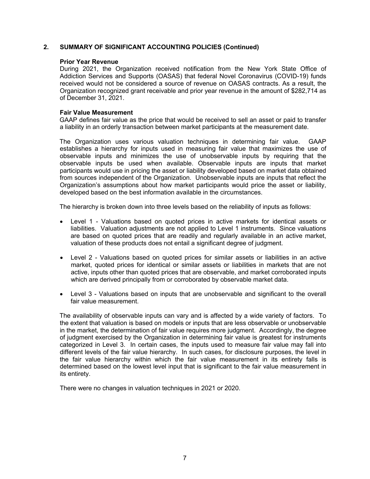## **Prior Year Revenue**

During 2021, the Organization received notification from the New York State Office of Addiction Services and Supports (OASAS) that federal Novel Coronavirus (COVID-19) funds received would not be considered a source of revenue on OASAS contracts. As a result, the Organization recognized grant receivable and prior year revenue in the amount of \$282,714 as of December 31, 2021.

## **Fair Value Measurement**

GAAP defines fair value as the price that would be received to sell an asset or paid to transfer a liability in an orderly transaction between market participants at the measurement date.

The Organization uses various valuation techniques in determining fair value. GAAP establishes a hierarchy for inputs used in measuring fair value that maximizes the use of observable inputs and minimizes the use of unobservable inputs by requiring that the observable inputs be used when available. Observable inputs are inputs that market participants would use in pricing the asset or liability developed based on market data obtained from sources independent of the Organization. Unobservable inputs are inputs that reflect the Organization's assumptions about how market participants would price the asset or liability, developed based on the best information available in the circumstances.

The hierarchy is broken down into three levels based on the reliability of inputs as follows:

- Level 1 Valuations based on quoted prices in active markets for identical assets or liabilities. Valuation adjustments are not applied to Level 1 instruments. Since valuations are based on quoted prices that are readily and regularly available in an active market, valuation of these products does not entail a significant degree of judgment.
- Level 2 Valuations based on quoted prices for similar assets or liabilities in an active market, quoted prices for identical or similar assets or liabilities in markets that are not active, inputs other than quoted prices that are observable, and market corroborated inputs which are derived principally from or corroborated by observable market data.
- Level 3 Valuations based on inputs that are unobservable and significant to the overall fair value measurement.

The availability of observable inputs can vary and is affected by a wide variety of factors. To the extent that valuation is based on models or inputs that are less observable or unobservable in the market, the determination of fair value requires more judgment. Accordingly, the degree of judgment exercised by the Organization in determining fair value is greatest for instruments categorized in Level 3. In certain cases, the inputs used to measure fair value may fall into different levels of the fair value hierarchy. In such cases, for disclosure purposes, the level in the fair value hierarchy within which the fair value measurement in its entirety falls is determined based on the lowest level input that is significant to the fair value measurement in its entirety.

There were no changes in valuation techniques in 2021 or 2020.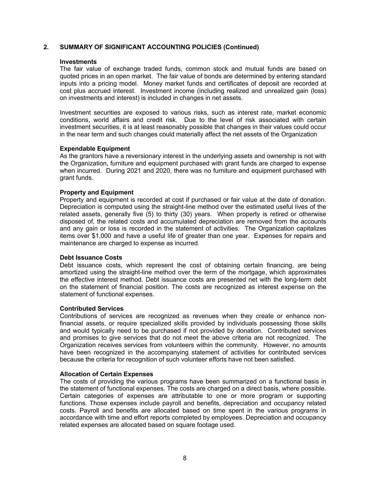#### **Investments**

The fair value of exchange traded funds, common stock and mutual funds are based on quoted prices in an open market. The fair value of bonds are determined by entering standard inputs into a pricing model. Money market funds and certificates of deposit are recorded at cost plus accrued interest. Investment income (including realized and unrealized gain (loss) on investments and interest) is included in changes in net assets.

Investment securities are exposed to various risks, such as interest rate, market economic conditions, world affairs and credit risk. Due to the level of risk associated with certain investment securities, it is at least reasonably possible that changes in their values could occur in the near term and such changes could materially affect the net assets of the Organization

## **Expendable Equipment**

As the grantors have a reversionary interest in the underlying assets and ownership is not with the Organization, furniture and equipment purchased with grant funds are charged to expense when incurred. During 2021 and 2020, there was no furniture and equipment purchased with grant funds.

## **Property and Equipment**

Property and equipment is recorded at cost if purchased or fair value at the date of donation. Depreciation is computed using the straight-line method over the estimated useful lives of the related assets, generally five (5) to thirty (30) years. When property is retired or otherwise disposed of, the related costs and accumulated depreciation are removed from the accounts and any gain or loss is recorded in the statement of activities. The Organization capitalizes items over \$1,000 and have a useful life of greater than one year. Expenses for repairs and maintenance are charged to expense as incurred.

## **Debt Issuance Costs**

Debt issuance costs, which represent the cost of obtaining certain financing, are being amortized using the straight-line method over the term of the mortgage, which approximates the effective interest method. Debt issuance costs are presented net with the long-term debt on the statement of financial position. The costs are recognized as interest expense on the statement of functional expenses.

## **Contributed Services**

Contributions of services are recognized as revenues when they create or enhance nonfinancial assets, or require specialized skills provided by individuals possessing those skills and would typically need to be purchased if not provided by donation. Contributed services and promises to give services that do not meet the above criteria are not recognized. The Organization receives services from volunteers within the community. However, no amounts have been recognized in the accompanying statement of activities for contributed services because the criteria for recognition of such volunteer efforts have not been satisfied.

## **Allocation of Certain Expenses**

The costs of providing the various programs have been summarized on a functional basis in the statement of functional expenses. The costs are charged on a direct basis, where possible. Certain categories of expenses are attributable to one or more program or supporting functions. Those expenses include payroll and benefits, depreciation and occupancy related costs. Payroll and benefits are allocated based on time spent in the various programs in accordance with time and effort reports completed by employees. Depreciation and occupancy related expenses are allocated based on square footage used.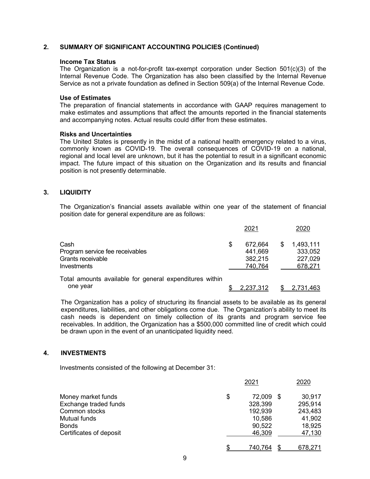#### **Income Tax Status**

The Organization is a not-for-profit tax-exempt corporation under Section  $501(c)(3)$  of the Internal Revenue Code. The Organization has also been classified by the Internal Revenue Service as not a private foundation as defined in Section 509(a) of the Internal Revenue Code.

#### **Use of Estimates**

The preparation of financial statements in accordance with GAAP requires management to make estimates and assumptions that affect the amounts reported in the financial statements and accompanying notes. Actual results could differ from these estimates.

## **Risks and Uncertainties**

The United States is presently in the midst of a national health emergency related to a virus, commonly known as COVID-19. The overall consequences of COVID-19 on a national, regional and local level are unknown, but it has the potential to result in a significant economic impact. The future impact of this situation on the Organization and its results and financial position is not presently determinable.

## **3. LIQUIDITY**

The Organization's financial assets available within one year of the statement of financial position date for general expenditure are as follows:

|                                                                             |     | 2021                                     |    | 2020                                       |
|-----------------------------------------------------------------------------|-----|------------------------------------------|----|--------------------------------------------|
| Cash<br>Program service fee receivables<br>Grants receivable<br>Investments | \$. | 672,664<br>441,669<br>382,215<br>740,764 | -S | 1,493,111<br>333,052<br>227,029<br>678,271 |
| Total amounts available for general expenditures within                     |     |                                          |    |                                            |

one year  $\frac{1}{3}$  2,237,312  $\frac{1}{3}$  2,237,312  $\frac{1}{3}$  2,731,463

The Organization has a policy of structuring its financial assets to be available as its general expenditures, liabilities, and other obligations come due. The Organization's ability to meet its cash needs is dependent on timely collection of its grants and program service fee receivables. In addition, the Organization has a \$500,000 committed line of credit which could be drawn upon in the event of an unanticipated liquidity need.

## **4. INVESTMENTS**

Investments consisted of the following at December 31:

|                         | 2021            | 2020    |
|-------------------------|-----------------|---------|
| Money market funds      | \$<br>72,009 \$ | 30,917  |
| Exchange traded funds   | 328,399         | 295,914 |
| Common stocks           | 192,939         | 243,483 |
| Mutual funds            | 10,586          | 41,902  |
| Bonds                   | 90,522          | 18,925  |
| Certificates of deposit | 46,309          | 47,130  |
|                         | \$<br>740,764   | 678,271 |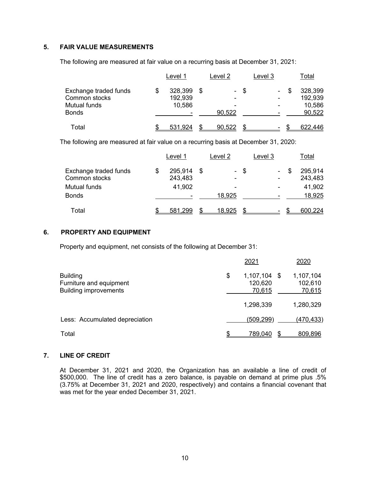## **5. FAIR VALUE MEASUREMENTS**

The following are measured at fair value on a recurring basis at December 31, 2021:

|                       | Level 1 | Level 2 |      | Level 3                  | Total   |
|-----------------------|---------|---------|------|--------------------------|---------|
| Exchange traded funds | 328,399 |         | - \$ | -                        | 328,399 |
| Common stocks         | 192,939 |         |      | $\overline{\phantom{0}}$ | 192,939 |
| <b>Mutual funds</b>   | 10,586  |         |      |                          | 10,586  |
| <b>Bonds</b>          | ٠       | 90,522  |      |                          | 90,522  |
| Total                 | 531.924 | 90,522  |      | $\overline{\phantom{0}}$ | 622,446 |

The following are measured at fair value on a recurring basis at December 31, 2020:

|                                        | Level 1            |      | Level 2                  |      | Level 3                                    |   | Total              |
|----------------------------------------|--------------------|------|--------------------------|------|--------------------------------------------|---|--------------------|
| Exchange traded funds<br>Common stocks | 295,914<br>243,483 | - \$ | $\overline{\phantom{0}}$ | - \$ | $\overline{\phantom{a}}$<br>$\blacksquare$ | S | 295,914<br>243,483 |
| <b>Mutual funds</b>                    | 41,902             |      | $\overline{\phantom{0}}$ |      | $\,$                                       |   | 41,902             |
| <b>Bonds</b>                           |                    |      | 18,925                   |      |                                            |   | 18,925             |
| Total                                  | 581,299            |      | 18,925                   |      | $\overline{\phantom{0}}$                   |   | 600,224            |

## **6. PROPERTY AND EQUIPMENT**

Property and equipment, net consists of the following at December 31:

|                                                                            | 2021                                    | 2020                           |
|----------------------------------------------------------------------------|-----------------------------------------|--------------------------------|
| <b>Building</b><br>Furniture and equipment<br><b>Building improvements</b> | \$<br>1,107,104 \$<br>120,620<br>70,615 | 1,107,104<br>102,610<br>70,615 |
|                                                                            | 1,298,339                               | 1,280,329                      |
| Less: Accumulated depreciation                                             | (509, 299)                              | (470, 433)                     |
| Total                                                                      | 789.040<br>S                            | 809,896                        |

## **7. LINE OF CREDIT**

At December 31, 2021 and 2020, the Organization has an available a line of credit of \$500,000. The line of credit has a zero balance, is payable on demand at prime plus .5% (3.75% at December 31, 2021 and 2020, respectively) and contains a financial covenant that was met for the year ended December 31, 2021.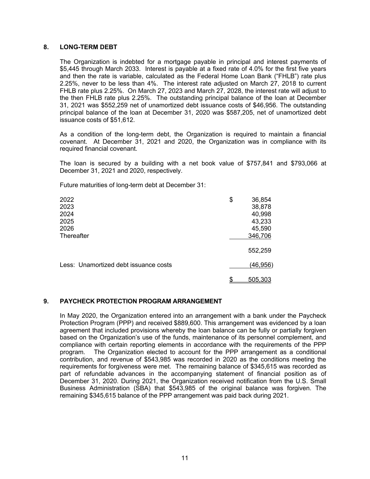## **8. LONG-TERM DEBT**

The Organization is indebted for a mortgage payable in principal and interest payments of \$5,445 through March 2033. Interest is payable at a fixed rate of 4.0% for the first five years and then the rate is variable, calculated as the Federal Home Loan Bank ("FHLB") rate plus 2.25%, never to be less than 4%. The interest rate adjusted on March 27, 2018 to current FHLB rate plus 2.25%. On March 27, 2023 and March 27, 2028, the interest rate will adjust to the then FHLB rate plus 2.25%. The outstanding principal balance of the loan at December 31, 2021 was \$552,259 net of unamortized debt issuance costs of \$46,956. The outstanding principal balance of the loan at December 31, 2020 was \$587,205, net of unamortized debt issuance costs of \$51,612.

As a condition of the long-term debt, the Organization is required to maintain a financial covenant. At December 31, 2021 and 2020, the Organization was in compliance with its required financial covenant.

The loan is secured by a building with a net book value of \$757,841 and \$793,066 at December 31, 2021 and 2020, respectively.

| 2022                                  | \$<br>36,854  |
|---------------------------------------|---------------|
| 2023                                  | 38,878        |
| 2024                                  | 40,998        |
| 2025                                  | 43,233        |
| 2026                                  | 45,590        |
| Thereafter                            | 346,706       |
|                                       |               |
|                                       | 552,259       |
| Less: Unamortized debt issuance costs | (46, 956)     |
|                                       |               |
|                                       | \$<br>505,303 |

Future maturities of long-term debt at December 31:

## **9. PAYCHECK PROTECTION PROGRAM ARRANGEMENT**

In May 2020, the Organization entered into an arrangement with a bank under the Paycheck Protection Program (PPP) and received \$889,600. This arrangement was evidenced by a loan agreement that included provisions whereby the loan balance can be fully or partially forgiven based on the Organization's use of the funds, maintenance of its personnel complement, and compliance with certain reporting elements in accordance with the requirements of the PPP program. The Organization elected to account for the PPP arrangement as a conditional contribution, and revenue of \$543,985 was recorded in 2020 as the conditions meeting the requirements for forgiveness were met. The remaining balance of \$345,615 was recorded as part of refundable advances in the accompanying statement of financial position as of December 31, 2020. During 2021, the Organization received notification from the U.S. Small Business Administration (SBA) that \$543,985 of the original balance was forgiven. The remaining \$345,615 balance of the PPP arrangement was paid back during 2021.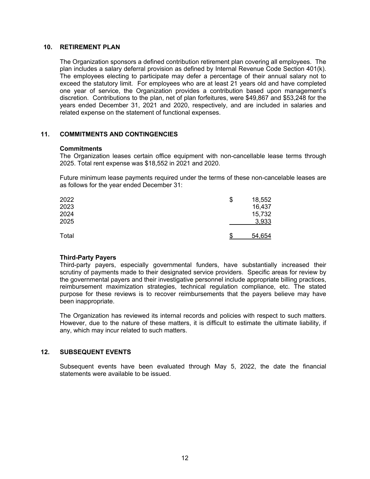## **10. RETIREMENT PLAN**

The Organization sponsors a defined contribution retirement plan covering all employees. The plan includes a salary deferral provision as defined by Internal Revenue Code Section 401(k). The employees electing to participate may defer a percentage of their annual salary not to exceed the statutory limit. For employees who are at least 21 years old and have completed one year of service, the Organization provides a contribution based upon management's discretion. Contributions to the plan, net of plan forfeitures, were \$49,867 and \$53,248 for the years ended December 31, 2021 and 2020, respectively, and are included in salaries and related expense on the statement of functional expenses.

## **11. COMMITMENTS AND CONTINGENCIES**

## **Commitments**

The Organization leases certain office equipment with non-cancellable lease terms through 2025. Total rent expense was \$18,552 in 2021 and 2020.

Future minimum lease payments required under the terms of these non-cancelable leases are as follows for the year ended December 31:

| 2022<br>2023<br>2024<br>2025 | \$<br>18,552<br>16,437<br>15,732<br>3,933 |
|------------------------------|-------------------------------------------|
| Total                        | 54,654                                    |

## **Third-Party Payers**

Third-party payers, especially governmental funders, have substantially increased their scrutiny of payments made to their designated service providers. Specific areas for review by the governmental payers and their investigative personnel include appropriate billing practices, reimbursement maximization strategies, technical regulation compliance, etc. The stated purpose for these reviews is to recover reimbursements that the payers believe may have been inappropriate.

The Organization has reviewed its internal records and policies with respect to such matters. However, due to the nature of these matters, it is difficult to estimate the ultimate liability, if any, which may incur related to such matters.

## **12. SUBSEQUENT EVENTS**

Subsequent events have been evaluated through May 5, 2022, the date the financial statements were available to be issued.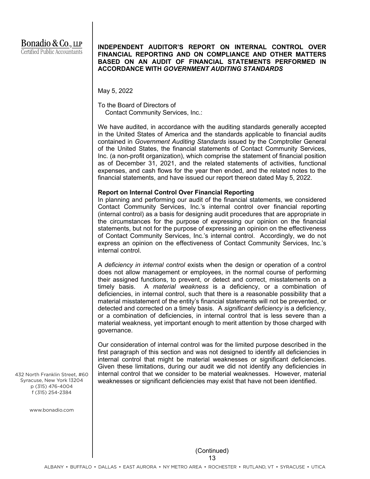Certified Public Accountants

## **INDEPENDENT AUDITOR'S REPORT ON INTERNAL CONTROL OVER FINANCIAL REPORTING AND ON COMPLIANCE AND OTHER MATTERS BASED ON AN AUDIT OF FINANCIAL STATEMENTS PERFORMED IN ACCORDANCE WITH** *GOVERNMENT AUDITING STANDARDS*

May 5, 2022

To the Board of Directors of Contact Community Services, Inc.:

We have audited, in accordance with the auditing standards generally accepted in the United States of America and the standards applicable to financial audits contained in *Government Auditing Standards* issued by the Comptroller General of the United States, the financial statements of Contact Community Services, Inc. (a non-profit organization), which comprise the statement of financial position as of December 31, 2021, and the related statements of activities, functional expenses, and cash flows for the year then ended, and the related notes to the financial statements, and have issued our report thereon dated May 5, 2022.

## **Report on Internal Control Over Financial Reporting**

In planning and performing our audit of the financial statements, we considered Contact Community Services, Inc.'s internal control over financial reporting (internal control) as a basis for designing audit procedures that are appropriate in the circumstances for the purpose of expressing our opinion on the financial statements, but not for the purpose of expressing an opinion on the effectiveness of Contact Community Services, Inc.'s internal control. Accordingly, we do not express an opinion on the effectiveness of Contact Community Services, Inc.'s internal control.

A *deficiency in internal control* exists when the design or operation of a control does not allow management or employees, in the normal course of performing their assigned functions, to prevent, or detect and correct, misstatements on a timely basis. A *material weakness* is a deficiency, or a combination of deficiencies, in internal control, such that there is a reasonable possibility that a material misstatement of the entity's financial statements will not be prevented, or detected and corrected on a timely basis. A *significant deficiency* is a deficiency, or a combination of deficiencies, in internal control that is less severe than a material weakness, yet important enough to merit attention by those charged with governance.

Our consideration of internal control was for the limited purpose described in the first paragraph of this section and was not designed to identify all deficiencies in internal control that might be material weaknesses or significant deficiencies. Given these limitations, during our audit we did not identify any deficiencies in internal control that we consider to be material weaknesses. However, material weaknesses or significant deficiencies may exist that have not been identified.

> (Continued) 13

432 North Franklin Street, #60 Syracuse, New York 13204 p (315) 476-4004 f (315) 254-2384

www.bonadio.com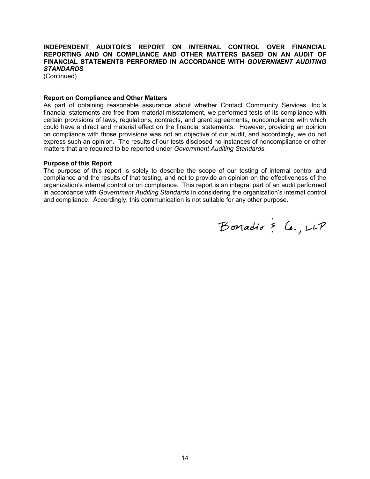## **INDEPENDENT AUDITOR'S REPORT ON INTERNAL CONTROL OVER FINANCIAL REPORTING AND ON COMPLIANCE AND OTHER MATTERS BASED ON AN AUDIT OF FINANCIAL STATEMENTS PERFORMED IN ACCORDANCE WITH** *GOVERNMENT AUDITING STANDARDS*

(Continued)

#### **Report on Compliance and Other Matters**

As part of obtaining reasonable assurance about whether Contact Community Services, Inc.'s financial statements are free from material misstatement, we performed tests of its compliance with certain provisions of laws, regulations, contracts, and grant agreements, noncompliance with which could have a direct and material effect on the financial statements. However, providing an opinion on compliance with those provisions was not an objective of our audit, and accordingly, we do not express such an opinion. The results of our tests disclosed no instances of noncompliance or other matters that are required to be reported under *Government Auditing Standards*.

## **Purpose of this Report**

The purpose of this report is solely to describe the scope of our testing of internal control and compliance and the results of that testing, and not to provide an opinion on the effectiveness of the organization's internal control or on compliance. This report is an integral part of an audit performed in accordance with *Government Auditing Standards* in considering the organization's internal control and compliance. Accordingly, this communication is not suitable for any other purpose.

Bonadio & Co., LLP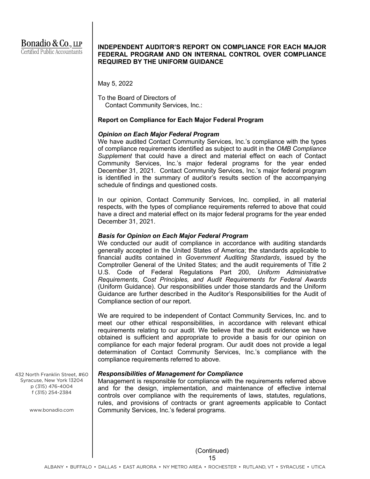# Bonadio & Co., llp

Certified Public Accountants

## **INDEPENDENT AUDITOR'S REPORT ON COMPLIANCE FOR EACH MAJOR FEDERAL PROGRAM AND ON INTERNAL CONTROL OVER COMPLIANCE REQUIRED BY THE UNIFORM GUIDANCE**

May 5, 2022

To the Board of Directors of Contact Community Services, Inc.:

## **Report on Compliance for Each Major Federal Program**

## *Opinion on Each Major Federal Program*

We have audited Contact Community Services, Inc.'s compliance with the types of compliance requirements identified as subject to audit in the *OMB Compliance Supplement* that could have a direct and material effect on each of Contact Community Services, Inc.'s major federal programs for the year ended December 31, 2021. Contact Community Services, Inc.'s major federal program is identified in the summary of auditor's results section of the accompanying schedule of findings and questioned costs.

In our opinion, Contact Community Services, Inc. complied, in all material respects, with the types of compliance requirements referred to above that could have a direct and material effect on its major federal programs for the year ended December 31, 2021.

## *Basis for Opinion on Each Major Federal Program*

We conducted our audit of compliance in accordance with auditing standards generally accepted in the United States of America; the standards applicable to financial audits contained in *Government Auditing Standards*, issued by the Comptroller General of the United States; and the audit requirements of Title 2 U.S. Code of Federal Regulations Part 200, *Uniform Administrative Requirements, Cost Principles, and Audit Requirements for Federal Awards* (Uniform Guidance). Our responsibilities under those standards and the Uniform Guidance are further described in the Auditor's Responsibilities for the Audit of Compliance section of our report.

We are required to be independent of Contact Community Services, Inc. and to meet our other ethical responsibilities, in accordance with relevant ethical requirements relating to our audit. We believe that the audit evidence we have obtained is sufficient and appropriate to provide a basis for our opinion on compliance for each major federal program. Our audit does not provide a legal determination of Contact Community Services, Inc.'s compliance with the compliance requirements referred to above.

## *Responsibilities of Management for Compliance*

Management is responsible for compliance with the requirements referred above and for the design, implementation, and maintenance of effective internal controls over compliance with the requirements of laws, statutes, regulations, rules, and provisions of contracts or grant agreements applicable to Contact Community Services, Inc.'s federal programs.

432 North Franklin Street, #60 Syracuse, New York 13204 p (315) 476-4004 f (315) 254-2384

www.bonadio.com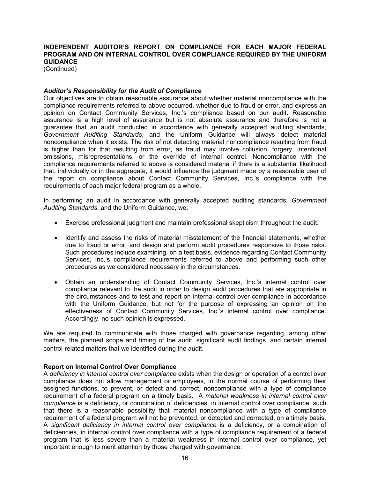## **INDEPENDENT AUDITOR'S REPORT ON COMPLIANCE FOR EACH MAJOR FEDERAL PROGRAM AND ON INTERNAL CONTROL OVER COMPLIANCE REQUIRED BY THE UNIFORM GUIDANCE**

(Continued)

## *Auditor's Responsibility for the Audit of Compliance*

Our objectives are to obtain reasonable assurance about whether material noncompliance with the compliance requirements referred to above occurred, whether due to fraud or error, and express an opinion on Contact Community Services, Inc.'s compliance based on our audit. Reasonable assurance is a high level of assurance but is not absolute assurance and therefore is not a guarantee that an audit conducted in accordance with generally accepted auditing standards, *Government Auditing Standards*, and the Uniform Guidance will always detect material noncompliance when it exists. The risk of not detecting material noncompliance resulting from fraud is higher than for that resulting from error, as fraud may involve collusion, forgery, intentional omissions, misrepresentations, or the override of internal control. Noncompliance with the compliance requirements referred to above is considered material if there is a substantial likelihood that, individually or in the aggregate, it would influence the judgment made by a reasonable user of the report on compliance about Contact Community Services, Inc.'s compliance with the requirements of each major federal program as a whole.

In performing an audit in accordance with generally accepted auditing standards, *Government Auditing Standards*, and the Uniform Guidance, we:

- Exercise professional judgment and maintain professional skepticism throughout the audit.
- Identify and assess the risks of material misstatement of the financial statements, whether due to fraud or error, and design and perform audit procedures responsive to those risks. Such procedures include examining, on a test basis, evidence regarding Contact Community Services, Inc.'s compliance requirements referred to above and performing such other procedures as we considered necessary in the circumstances.
- Obtain an understanding of Contact Community Services, Inc.'s internal control over compliance relevant to the audit in order to design audit procedures that are appropriate in the circumstances and to test and report on internal control over compliance in accordance with the Uniform Guidance, but not for the purpose of expressing an opinion on the effectiveness of Contact Community Services, Inc.'s internal control over compliance. Accordingly, no such opinion is expressed.

We are required to communicate with those charged with governance regarding, among other matters, the planned scope and timing of the audit, significant audit findings, and certain internal control-related matters that we identified during the audit.

## **Report on Internal Control Over Compliance**

A *deficiency in internal control over compliance* exists when the design or operation of a control over compliance does not allow management or employees, in the normal course of performing their assigned functions, to prevent, or detect and correct, noncompliance with a type of compliance requirement of a federal program on a timely basis. A *material weakness in internal control over compliance* is a deficiency, or combination of deficiencies, in internal control over compliance, such that there is a reasonable possibility that material noncompliance with a type of compliance requirement of a federal program will not be prevented, or detected and corrected, on a timely basis. A *significant deficiency in internal control over compliance* is a deficiency, or a combination of deficiencies, in internal control over compliance with a type of compliance requirement of a federal program that is less severe than a material weakness in internal control over compliance, yet important enough to merit attention by those charged with governance.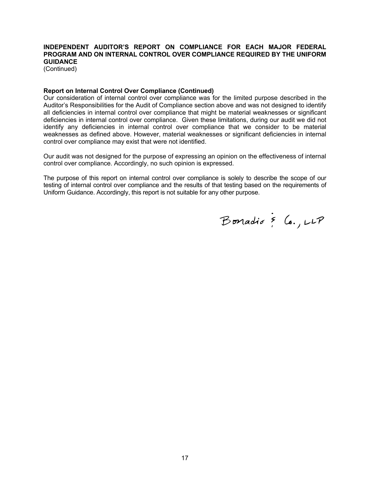## **INDEPENDENT AUDITOR'S REPORT ON COMPLIANCE FOR EACH MAJOR FEDERAL PROGRAM AND ON INTERNAL CONTROL OVER COMPLIANCE REQUIRED BY THE UNIFORM GUIDANCE**

(Continued)

## **Report on Internal Control Over Compliance (Continued)**

Our consideration of internal control over compliance was for the limited purpose described in the Auditor's Responsibilities for the Audit of Compliance section above and was not designed to identify all deficiencies in internal control over compliance that might be material weaknesses or significant deficiencies in internal control over compliance. Given these limitations, during our audit we did not identify any deficiencies in internal control over compliance that we consider to be material weaknesses as defined above. However, material weaknesses or significant deficiencies in internal control over compliance may exist that were not identified.

Our audit was not designed for the purpose of expressing an opinion on the effectiveness of internal control over compliance. Accordingly, no such opinion is expressed.

The purpose of this report on internal control over compliance is solely to describe the scope of our testing of internal control over compliance and the results of that testing based on the requirements of Uniform Guidance. Accordingly, this report is not suitable for any other purpose.

Bonadio & Co., LLP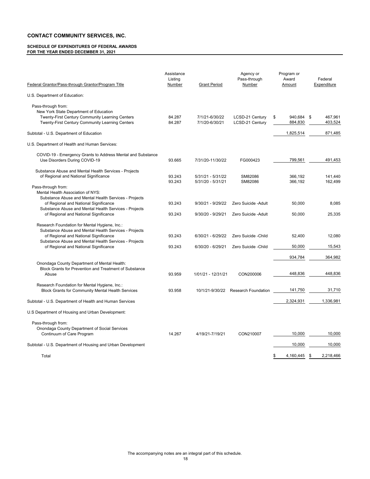#### **SCHEDULE OF EXPENDITURES OF FEDERAL AWARDS FOR THE YEAR ENDED DECEMBER 31, 2021**

| Federal Grantor/Pass-through Grantor/Program Title                                                                                                                                                                   | Assistance<br>Listing<br><b>Number</b> | <b>Grant Period</b>                    | Agency or<br>Pass-through<br>Number | Program or<br>Award<br>Amount         | Federal<br>Expenditure              |  |
|----------------------------------------------------------------------------------------------------------------------------------------------------------------------------------------------------------------------|----------------------------------------|----------------------------------------|-------------------------------------|---------------------------------------|-------------------------------------|--|
| U.S. Department of Education:                                                                                                                                                                                        |                                        |                                        |                                     |                                       |                                     |  |
| Pass-through from:<br>New York State Department of Education<br>Twenty-First Century Community Learning Centers<br><b>Twenty-First Century Community Learning Centers</b><br>Subtotal - U.S. Department of Education | 84.287<br>84.287                       | 7/1/21-6/30/22<br>7/1/20-6/30/21       | LCSD-21 Century<br>LCSD-21 Century  | \$<br>940,684<br>884,830<br>1,825,514 | \$<br>467,961<br>403,524<br>871,485 |  |
| U.S. Department of Health and Human Services:                                                                                                                                                                        |                                        |                                        |                                     |                                       |                                     |  |
|                                                                                                                                                                                                                      |                                        |                                        |                                     |                                       |                                     |  |
| COVID-19 - Emergency Grants to Address Mental and Substance<br>Use Disorders During COVID-19                                                                                                                         | 93.665                                 | 7/31/20-11/30/22                       | FG000423                            | 799,561                               | 491.453                             |  |
| Substance Abuse and Mental Health Services - Projects<br>of Regional and National Significance                                                                                                                       | 93.243<br>93.243                       | 5/31/21 - 5/31/22<br>5/31/20 - 5/31/21 | SM82086<br>SM82086                  | 366,192<br>366,192                    | 141,440<br>162,499                  |  |
| Pass-through from:<br>Mental Health Association of NYS:                                                                                                                                                              |                                        |                                        |                                     |                                       |                                     |  |
| Substance Abuse and Mental Health Services - Projects<br>of Regional and National Significance<br>Substance Abuse and Mental Health Services - Projects                                                              | 93.243                                 | 9/30/21 - 9/29/22                      | Zero Suicide -Adult                 | 50.000                                | 8,085                               |  |
| of Regional and National Significance                                                                                                                                                                                | 93.243                                 | 9/30/20 - 9/29/21                      | Zero Suicide -Adult                 | 50,000                                | 25,335                              |  |
| Research Foundation for Mental Hygiene, Inc.:<br>Substance Abuse and Mental Health Services - Projects<br>of Regional and National Significance                                                                      | 93.243                                 | 6/30/21 - 6/29/22                      | Zero Suicide - Child                | 52,400                                | 12,080                              |  |
| Substance Abuse and Mental Health Services - Projects<br>of Regional and National Significance                                                                                                                       | 93.243                                 | 6/30/20 - 6/29/21                      | Zero Suicide - Child                | 50,000                                | 15,543                              |  |
|                                                                                                                                                                                                                      |                                        |                                        |                                     | 934,784                               | 364,982                             |  |
| Onondaga County Department of Mental Health:<br>Block Grants for Prevention and Treatment of Substance<br>Abuse                                                                                                      | 93.959                                 | 1/01/21 - 12/31/21                     | CON200006                           | 448.836                               | 448,836                             |  |
| Research Foundation for Mental Hygiene, Inc.:<br><b>Block Grants for Community Mental Health Services</b>                                                                                                            | 93.958                                 | 10/1/21-9/30/22                        | <b>Research Foundation</b>          | 141,750                               | 31,710                              |  |
| Subtotal - U.S. Department of Health and Human Services                                                                                                                                                              |                                        |                                        |                                     | 2,324,931                             | 1,336,981                           |  |
| U.S Department of Housing and Urban Development:                                                                                                                                                                     |                                        |                                        |                                     |                                       |                                     |  |
| Pass-through from:<br>Onondaga County Department of Social Services                                                                                                                                                  |                                        |                                        |                                     |                                       |                                     |  |
| Continuum of Care Program                                                                                                                                                                                            | 14.267                                 | 4/19/21-7/19/21                        | CON210007                           | 10.000                                | 10,000                              |  |
| Subtotal - U.S. Department of Housing and Urban Development                                                                                                                                                          |                                        |                                        |                                     | 10,000                                | 10,000                              |  |
| Total                                                                                                                                                                                                                |                                        |                                        |                                     | 4,160,445<br>S                        | 2,218,466<br>\$                     |  |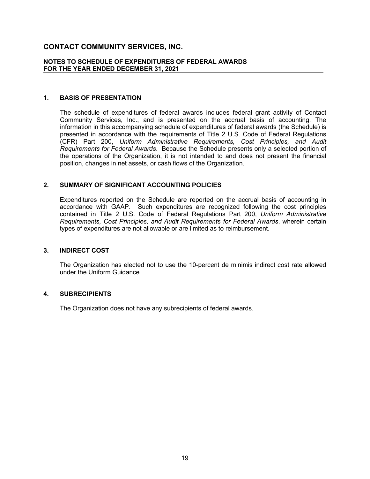## **NOTES TO SCHEDULE OF EXPENDITURES OF FEDERAL AWARDS FOR THE YEAR ENDED DECEMBER 31, 2021**

## **1. BASIS OF PRESENTATION**

The schedule of expenditures of federal awards includes federal grant activity of Contact Community Services, Inc., and is presented on the accrual basis of accounting. The information in this accompanying schedule of expenditures of federal awards (the Schedule) is presented in accordance with the requirements of Title 2 U.S. Code of Federal Regulations (CFR) Part 200, *Uniform Administrative Requirements, Cost Principles, and Audit Requirements for Federal Awards*. Because the Schedule presents only a selected portion of the operations of the Organization, it is not intended to and does not present the financial position, changes in net assets, or cash flows of the Organization.

## **2. SUMMARY OF SIGNIFICANT ACCOUNTING POLICIES**

Expenditures reported on the Schedule are reported on the accrual basis of accounting in accordance with GAAP. Such expenditures are recognized following the cost principles contained in Title 2 U.S. Code of Federal Regulations Part 200, *Uniform Administrative Requirements, Cost Principles, and Audit Requirements for Federal Awards*, wherein certain types of expenditures are not allowable or are limited as to reimbursement.

## **3. INDIRECT COST**

The Organization has elected not to use the 10-percent de minimis indirect cost rate allowed under the Uniform Guidance.

## **4. SUBRECIPIENTS**

The Organization does not have any subrecipients of federal awards.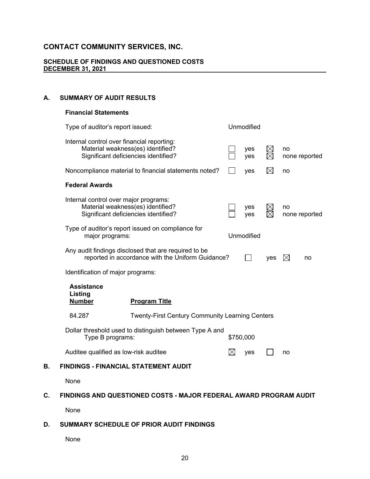## **SCHEDULE OF FINDINGS AND QUESTIONED COSTS DECEMBER 31, 2021**

## **A. SUMMARY OF AUDIT RESULTS**

## **Financial Statements**

|    | Type of auditor's report issued:                                                                                   |                                                                                                                         |   | Unmodified |             |                     |  |  |
|----|--------------------------------------------------------------------------------------------------------------------|-------------------------------------------------------------------------------------------------------------------------|---|------------|-------------|---------------------|--|--|
|    |                                                                                                                    | Internal control over financial reporting:<br>Material weakness(es) identified?<br>Significant deficiencies identified? |   | yes<br>yes |             | no<br>none reported |  |  |
|    | Noncompliance material to financial statements noted?                                                              |                                                                                                                         |   | yes        | $\boxtimes$ | no                  |  |  |
|    | <b>Federal Awards</b>                                                                                              |                                                                                                                         |   |            |             |                     |  |  |
|    | Internal control over major programs:<br>Material weakness(es) identified?<br>Significant deficiencies identified? |                                                                                                                         |   | yes<br>yes |             | no<br>none reported |  |  |
|    | major programs:                                                                                                    | Type of auditor's report issued on compliance for                                                                       |   | Unmodified |             |                     |  |  |
|    |                                                                                                                    | Any audit findings disclosed that are required to be<br>reported in accordance with the Uniform Guidance?               |   |            | yes         | IХI<br>no           |  |  |
|    | Identification of major programs:                                                                                  |                                                                                                                         |   |            |             |                     |  |  |
|    | <b>Assistance</b><br>Listing<br><b>Number</b>                                                                      | <b>Program Title</b>                                                                                                    |   |            |             |                     |  |  |
|    | 84.287<br><b>Twenty-First Century Community Learning Centers</b>                                                   |                                                                                                                         |   |            |             |                     |  |  |
|    | Type B programs:                                                                                                   | Dollar threshold used to distinguish between Type A and                                                                 |   | \$750,000  |             |                     |  |  |
|    |                                                                                                                    | Auditee qualified as low-risk auditee                                                                                   | ⋉ | yes        |             | no                  |  |  |
| В. |                                                                                                                    | <b>FINDINGS - FINANCIAL STATEMENT AUDIT</b>                                                                             |   |            |             |                     |  |  |
|    |                                                                                                                    |                                                                                                                         |   |            |             |                     |  |  |

None

## **C. FINDINGS AND QUESTIONED COSTS - MAJOR FEDERAL AWARD PROGRAM AUDIT**

None

## **D. SUMMARY SCHEDULE OF PRIOR AUDIT FINDINGS**

None